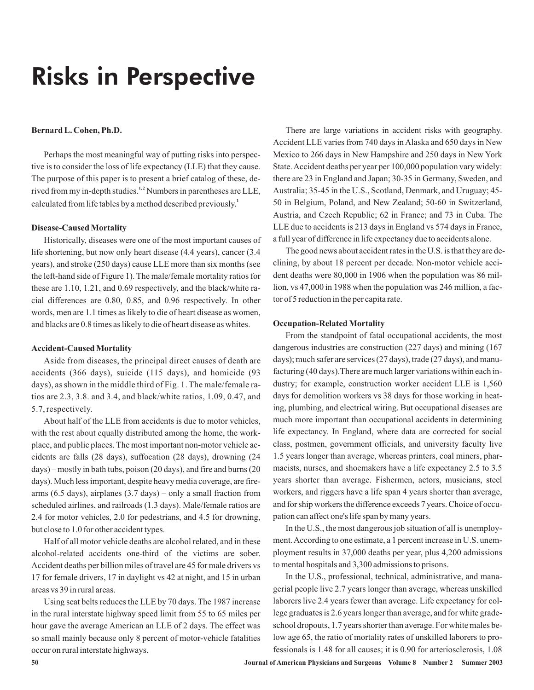# Risks in Perspective

#### **Bernard L. Cohen, Ph.D.**

Perhaps the most meaningful way of putting risks into perspective is to consider the loss of life expectancy (LLE) that they cause. The purpose of this paper is to present a brief catalog of these, derived from my in-depth studies.<sup>1,2</sup> Numbers in parentheses are LLE, calculated from life tables by a method described previously. **1**

#### **Disease-Caused Mortality**

Historically, diseases were one of the most important causes of life shortening, but now only heart disease (4.4 years), cancer (3.4 years), and stroke (250 days) cause LLE more than six months (see the left-hand side of Figure 1). The male/female mortality ratios for these are 1.10, 1.21, and 0.69 respectively, and the black/white racial differences are 0.80, 0.85, and 0.96 respectively. In other words, men are 1.1 times as likely to die of heart disease as women, and blacks are 0.8 times as likely to die of heart disease as whites.

#### **Accident-Caused Mortality**

Aside from diseases, the principal direct causes of death are accidents (366 days), suicide (115 days), and homicide (93 days), as shown in the middle third of Fig. 1. The male/female ratios are 2.3, 3.8. and 3.4, and black/white ratios, 1.09, 0.47, and 5.7, respectively.

About half of the LLE from accidents is due to motor vehicles, with the rest about equally distributed among the home, the workplace, and public places. The most important non-motor vehicle accidents are falls (28 days), suffocation (28 days), drowning (24 days) – mostly in bath tubs, poison (20 days), and fire and burns (20 days). Much less important, despite heavy media coverage, are firearms (6.5 days), airplanes (3.7 days) – only a small fraction from scheduled airlines, and railroads (1.3 days). Male/female ratios are 2.4 for motor vehicles, 2.0 for pedestrians, and 4.5 for drowning, but close to 1.0 for other accident types.

Half of all motor vehicle deaths are alcohol related, and in these alcohol-related accidents one-third of the victims are sober. Accident deaths per billion miles of travel are 45 for male drivers vs 17 for female drivers, 17 in daylight vs 42 at night, and 15 in urban areas vs 39 in rural areas.

Using seat belts reduces the LLE by 70 days. The 1987 increase in the rural interstate highway speed limit from 55 to 65 miles per hour gave the average American an LLE of 2 days. The effect was so small mainly because only 8 percent of motor-vehicle fatalities occur on rural interstate highways.

There are large variations in accident risks with geography. Accident LLE varies from 740 days in Alaska and 650 days in New Mexico to 266 days in New Hampshire and 250 days in New York State.Accident deaths per year per 100,000 population vary widely: there are 23 in England and Japan; 30-35 in Germany, Sweden, and Australia; 35-45 in the U.S., Scotland, Denmark, and Uruguay; 45- 50 in Belgium, Poland, and New Zealand; 50-60 in Switzerland, Austria, and Czech Republic; 62 in France; and 73 in Cuba. The LLE due to accidents is 213 days in England vs 574 days in France, a full year of difference in life expectancy due to accidents alone.

The good news about accident rates in the U.S. is that they are declining, by about 18 percent per decade. Non-motor vehicle accident deaths were 80,000 in 1906 when the population was 86 million, vs 47,000 in 1988 when the population was 246 million, a factor of 5 reduction in the per capita rate.

#### **Occupation-Related Mortality**

From the standpoint of fatal occupational accidents, the most dangerous industries are construction (227 days) and mining (167 days); much safer are services (27 days), trade (27 days), and manufacturing (40 days).There are much larger variations within each industry; for example, construction worker accident LLE is 1,560 days for demolition workers vs 38 days for those working in heating, plumbing, and electrical wiring. But occupational diseases are much more important than occupational accidents in determining life expectancy. In England, where data are corrected for social class, postmen, government officials, and university faculty live 1.5 years longer than average, whereas printers, coal miners, pharmacists, nurses, and shoemakers have a life expectancy 2.5 to 3.5 years shorter than average. Fishermen, actors, musicians, steel workers, and riggers have a life span 4 years shorter than average, and for ship workers the difference exceeds 7 years. Choice of occupation can affect one's life span by many years.

In the U.S., the most dangerous job situation of all is unemployment.According to one estimate, a 1 percent increase in U.S. unemployment results in 37,000 deaths per year, plus 4,200 admissions to mental hospitals and 3,300 admissions to prisons.

In the U.S., professional, technical, administrative, and managerial people live 2.7 years longer than average, whereas unskilled laborers live 2.4 years fewer than average. Life expectancy for college graduates is 2.6 years longer than average, and for white gradeschool dropouts, 1.7 years shorter than average. For white males below age 65, the ratio of mortality rates of unskilled laborers to professionals is 1.48 for all causes; it is 0.90 for arteriosclerosis, 1.08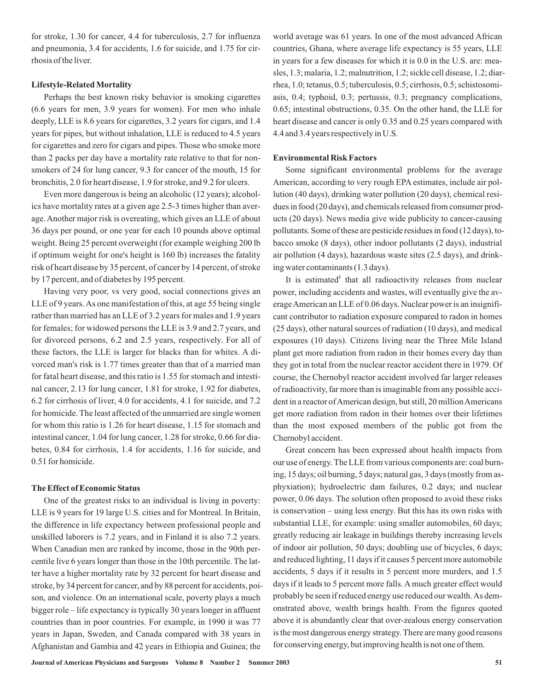for stroke, 1.30 for cancer, 4.4 for tuberculosis, 2.7 for influenza and pneumonia, 3.4 for accidents, 1.6 for suicide, and 1.75 for cirrhosis of the liver.

#### **Lifestyle-Related Mortality**

Perhaps the best known risky behavior is smoking cigarettes (6.6 years for men, 3.9 years for women). For men who inhale deeply, LLE is 8.6 years for cigarettes, 3.2 years for cigars, and 1.4 years for pipes, but without inhalation, LLE is reduced to 4.5 years for cigarettes and zero for cigars and pipes. Those who smoke more than 2 packs per day have a mortality rate relative to that for nonsmokers of 24 for lung cancer, 9.3 for cancer of the mouth, 15 for bronchitis, 2.0 for heart disease, 1.9 for stroke, and 9.2 for ulcers.

Even more dangerous is being an alcoholic (12 years); alcoholics have mortality rates at a given age 2.5-3 times higher than average. Another major risk is overeating, which gives an LLE of about 36 days per pound, or one year for each 10 pounds above optimal weight. Being 25 percent overweight (for example weighing 200 lb if optimum weight for one's height is 160 lb) increases the fatality risk of heart disease by 35 percent, of cancer by 14 percent, of stroke by 17 percent, and of diabetes by 195 percent.

Having very poor, vs very good, social connections gives an LLE of 9 years. As one manifestation of this, at age 55 being single rather than married has an LLE of 3.2 years for males and 1.9 years for females; for widowed persons the LLE is 3.9 and 2.7 years, and for divorced persons, 6.2 and 2.5 years, respectively. For all of these factors, the LLE is larger for blacks than for whites. A divorced man's risk is 1.77 times greater than that of a married man for fatal heart disease, and this ratio is 1.55 for stomach and intestinal cancer, 2.13 for lung cancer, 1.81 for stroke, 1.92 for diabetes, 6.2 for cirrhosis of liver, 4.0 for accidents, 4.1 for suicide, and 7.2 for homicide. The least affected of the unmarried are single women for whom this ratio is 1.26 for heart disease, 1.15 for stomach and intestinal cancer, 1.04 for lung cancer, 1.28 for stroke, 0.66 for diabetes, 0.84 for cirrhosis, 1.4 for accidents, 1.16 for suicide, and 0.51 for homicide.

### **The Effect of Economic Status**

One of the greatest risks to an individual is living in poverty: LLE is 9 years for 19 large U.S. cities and for Montreal. In Britain, the difference in life expectancy between professional people and unskilled laborers is 7.2 years, and in Finland it is also 7.2 years. When Canadian men are ranked by income, those in the 90th percentile live 6 years longer than those in the 10th percentile. The latter have a higher mortality rate by 32 percent for heart disease and stroke, by 34 percent for cancer, and by 88 percent for accidents, poison, and violence. On an international scale, poverty plays a much bigger role – life expectancy is typically 30 years longer in affluent countries than in poor countries. For example, in 1990 it was 77 years in Japan, Sweden, and Canada compared with 38 years in Afghanistan and Gambia and 42 years in Ethiopia and Guinea; the

world average was 61 years. In one of the most advanced African countries, Ghana, where average life expectancy is 55 years, LLE in years for a few diseases for which it is 0.0 in the U.S. are: measles, 1.3; malaria, 1.2; malnutrition, 1.2; sickle cell disease, 1.2; diarrhea, 1.0; tetanus, 0.5; tuberculosis, 0.5; cirrhosis, 0.5; schistosomiasis, 0.4; typhoid, 0.3; pertussis, 0.3; pregnancy complications, 0.65; intestinal obstructions, 0.35. On the other hand, the LLE for heart disease and cancer is only 0.35 and 0.25 years compared with 4.4 and 3.4 years respectively in U.S.

## **Environmental Risk Factors**

Some significant environmental problems for the average American, according to very rough EPA estimates, include air pollution (40 days), drinking water pollution (20 days), chemical residues in food (20 days), and chemicals released from consumer products (20 days). News media give wide publicity to cancer-causing pollutants. Some of these are pesticide residues in food (12 days), tobacco smoke (8 days), other indoor pollutants (2 days), industrial air pollution (4 days), hazardous waste sites (2.5 days), and drinking water contaminants (1.3 days).

It is estimated<sup>2</sup> that all radioactivity releases from nuclear power, including accidents and wastes, will eventually give the averageAmerican an LLE of 0.06 days. Nuclear power is an insignificant contributor to radiation exposure compared to radon in homes (25 days), other natural sources of radiation (10 days), and medical exposures (10 days). Citizens living near the Three Mile Island plant get more radiation from radon in their homes every day than they got in total from the nuclear reactor accident there in 1979. Of course, the Chernobyl reactor accident involved far larger releases of radioactivity, far more than is imaginable from any possible accident in a reactor of American design, but still, 20 million Americans get more radiation from radon in their homes over their lifetimes than the most exposed members of the public got from the Chernobyl accident.

Great concern has been expressed about health impacts from our use of energy. The LLE from various components are: coal burning, 15 days; oil burning, 5 days; natural gas, 3 days (mostly from asphyxiation); hydroelectric dam failures, 0.2 days; and nuclear power, 0.06 days. The solution often proposed to avoid these risks is conservation – using less energy. But this has its own risks with substantial LLE, for example: using smaller automobiles, 60 days; greatly reducing air leakage in buildings thereby increasing levels of indoor air pollution, 50 days; doubling use of bicycles, 6 days; and reduced lighting, 11 days if it causes 5 percent more automobile accidents, 5 days if it results in 5 percent more murders, and 1.5 days if it leads to 5 percent more falls. A much greater effect would probably be seen if reduced energy use reduced our wealth.As demonstrated above, wealth brings health. From the figures quoted above it is abundantly clear that over-zealous energy conservation is the most dangerous energy strategy. There are many good reasons for conserving energy, but improving health is not one of them.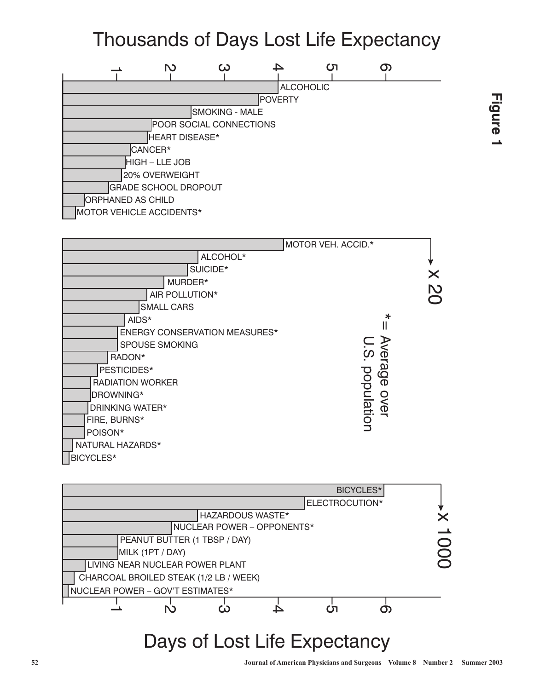# Thousands of Days Lost Life Expectancy







# Days of Lost Life Expectancy